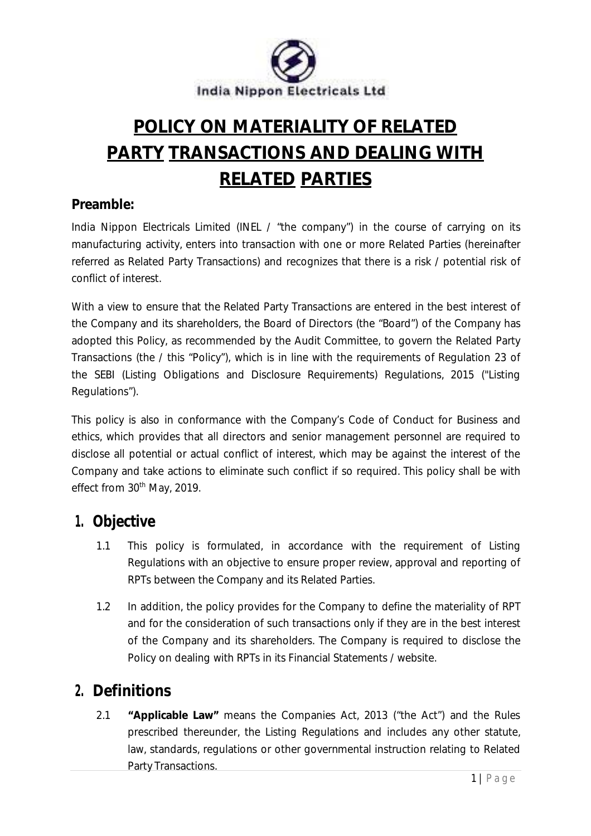

# **POLICY ON MATERIALITY OF RELATED PARTY TRANSACTIONS AND DEALING WITH RELATED PARTIES**

#### **Preamble:**

India Nippon Electricals Limited (INEL / "the company") in the course of carrying on its manufacturing activity, enters into transaction with one or more Related Parties (hereinafter referred as Related Party Transactions) and recognizes that there is a risk / potential risk of conflict of interest.

With a view to ensure that the Related Party Transactions are entered in the best interest of the Company and its shareholders, the Board of Directors (the "Board") of the Company has adopted this Policy, as recommended by the Audit Committee, to govern the Related Party Transactions (the / this "Policy"), which is in line with the requirements of Regulation 23 of the SEBI (Listing Obligations and Disclosure Requirements) Regulations, 2015 ("Listing Regulations").

This policy is also in conformance with the Company's Code of Conduct for Business and ethics, which provides that all directors and senior management personnel are required to disclose all potential or actual conflict of interest, which may be against the interest of the Company and take actions to eliminate such conflict if so required. This policy shall be with effect from 30<sup>th</sup> May, 2019.

### **1. Objective**

- 1.1 This policy is formulated, in accordance with the requirement of Listing Regulations with an objective to ensure proper review, approval and reporting of RPTs between the Company and its Related Parties.
- 1.2 In addition, the policy provides for the Company to define the materiality of RPT and for the consideration of such transactions only if they are in the best interest of the Company and its shareholders. The Company is required to disclose the Policy on dealing with RPTs in its Financial Statements / website.

### **2. Definitions**

2.1 **"Applicable Law"** means the Companies Act, 2013 ("the Act") and the Rules prescribed thereunder, the Listing Regulations and includes any other statute, law, standards, regulations or other governmental instruction relating to Related Party Transactions.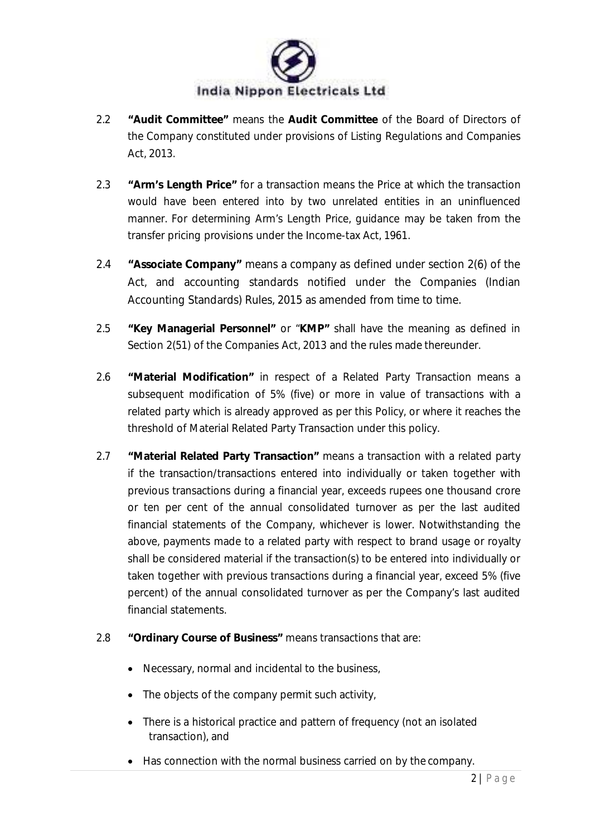

- 2.2 **"Audit Committee"** means the **Audit Committee** of the Board of Directors of the Company constituted under provisions of Listing Regulations and Companies Act, 2013.
- 2.3 **"Arm's Length Price"** for a transaction means the Price at which the transaction would have been entered into by two unrelated entities in an uninfluenced manner. For determining Arm's Length Price, guidance may be taken from the transfer pricing provisions under the Income-tax Act, 1961.
- 2.4 **"Associate Company"** means a company as defined under section 2(6) of the Act, and accounting standards notified under the Companies (Indian Accounting Standards) Rules, 2015 as amended from time to time.
- 2.5 **"Key Managerial Personnel"** or "**KMP"** shall have the meaning as defined in Section 2(51) of the Companies Act, 2013 and the rules made thereunder.
- 2.6 **"Material Modification"** in respect of a Related Party Transaction means a subsequent modification of 5% (five) or more in value of transactions with a related party which is already approved as per this Policy, or where it reaches the threshold of Material Related Party Transaction under this policy.
- 2.7 **"Material Related Party Transaction"** means a transaction with a related party if the transaction/transactions entered into individually or taken together with previous transactions during a financial year, exceeds rupees one thousand crore or ten per cent of the annual consolidated turnover as per the last audited financial statements of the Company, whichever is lower. Notwithstanding the above, payments made to a related party with respect to brand usage or royalty shall be considered material if the transaction(s) to be entered into individually or taken together with previous transactions during a financial year, exceed 5% (five percent) of the annual consolidated turnover as per the Company's last audited financial statements.

#### 2.8 **"Ordinary Course of Business"** means transactions that are:

- Necessary, normal and incidental to the business,
- The objects of the company permit such activity,
- There is a historical practice and pattern of frequency (not an isolated transaction), and
- Has connection with the normal business carried on by the company.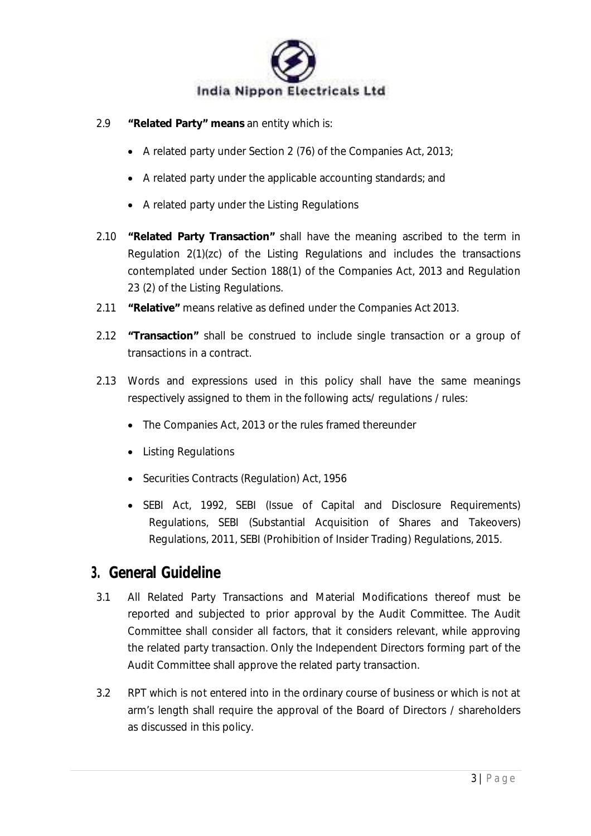

- 2.9 **"Related Party" means** an entity which is:
	- A related party under Section 2 (76) of the Companies Act, 2013;
	- A related party under the applicable accounting standards; and
	- A related party under the Listing Regulations
- 2.10 **"Related Party Transaction"** shall have the meaning ascribed to the term in Regulation 2(1)(zc) of the Listing Regulations and includes the transactions contemplated under Section 188(1) of the Companies Act, 2013 and Regulation 23 (2) of the Listing Regulations.
- 2.11 **"Relative"** means relative as defined under the Companies Act 2013.
- 2.12 **"Transaction"** shall be construed to include single transaction or a group of transactions in a contract.
- 2.13 Words and expressions used in this policy shall have the same meanings respectively assigned to them in the following acts/ regulations / rules:
	- The Companies Act, 2013 or the rules framed thereunder
	- Listing Regulations
	- Securities Contracts (Regulation) Act, 1956
	- SEBI Act, 1992, SEBI (Issue of Capital and Disclosure Requirements) Regulations, SEBI (Substantial Acquisition of Shares and Takeovers) Regulations, 2011, SEBI (Prohibition of Insider Trading) Regulations, 2015.

### **3. General Guideline**

- 3.1 All Related Party Transactions and Material Modifications thereof must be reported and subjected to prior approval by the Audit Committee. The Audit Committee shall consider all factors, that it considers relevant, while approving the related party transaction. Only the Independent Directors forming part of the Audit Committee shall approve the related party transaction.
- 3.2 RPT which is not entered into in the ordinary course of business or which is not at arm's length shall require the approval of the Board of Directors / shareholders as discussed in this policy.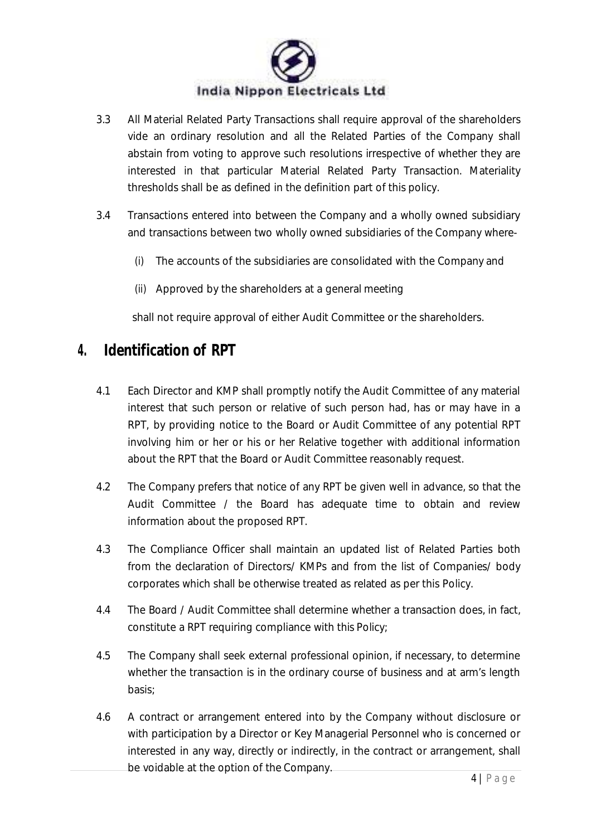

- 3.3 All Material Related Party Transactions shall require approval of the shareholders vide an ordinary resolution and all the Related Parties of the Company shall abstain from voting to approve such resolutions irrespective of whether they are interested in that particular Material Related Party Transaction. Materiality thresholds shall be as defined in the definition part of this policy.
- 3.4 Transactions entered into between the Company and a wholly owned subsidiary and transactions between two wholly owned subsidiaries of the Company where-
	- (i) The accounts of the subsidiaries are consolidated with the Company and
	- (ii) Approved by the shareholders at a general meeting

shall not require approval of either Audit Committee or the shareholders.

#### **4. Identification of RPT**

- 4.1 Each Director and KMP shall promptly notify the Audit Committee of any material interest that such person or relative of such person had, has or may have in a RPT, by providing notice to the Board or Audit Committee of any potential RPT involving him or her or his or her Relative together with additional information about the RPT that the Board or Audit Committee reasonably request.
- 4.2 The Company prefers that notice of any RPT be given well in advance, so that the Audit Committee / the Board has adequate time to obtain and review information about the proposed RPT.
- 4.3 The Compliance Officer shall maintain an updated list of Related Parties both from the declaration of Directors/ KMPs and from the list of Companies/ body corporates which shall be otherwise treated as related as per this Policy.
- 4.4 The Board / Audit Committee shall determine whether a transaction does, in fact, constitute a RPT requiring compliance with this Policy;
- 4.5 The Company shall seek external professional opinion, if necessary, to determine whether the transaction is in the ordinary course of business and at arm's length basis;
- 4.6 A contract or arrangement entered into by the Company without disclosure or with participation by a Director or Key Managerial Personnel who is concerned or interested in any way, directly or indirectly, in the contract or arrangement, shall be voidable at the option of the Company.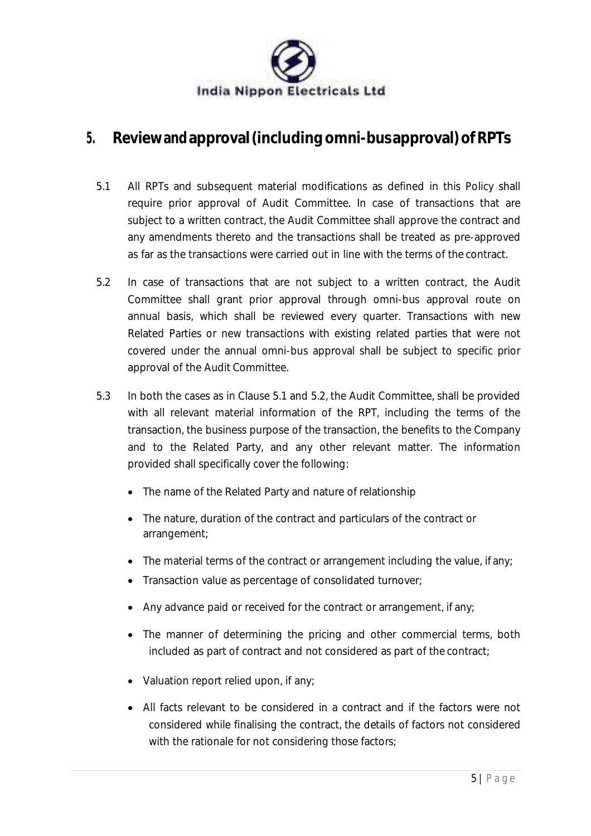

### **5. Reviewandapproval(includingomni-busapproval)ofRPTs**

- 5.1 All RPTs and subsequent material modifications as defined in this Policy shall require prior approval of Audit Committee. In case of transactions that are subject to a written contract, the Audit Committee shall approve the contract and any amendments thereto and the transactions shall be treated as pre-approved as far as the transactions were carried out in line with the terms of the contract.
- 5.2 In case of transactions that are not subject to a written contract, the Audit Committee shall grant prior approval through omni-bus approval route on annual basis, which shall be reviewed every quarter. Transactions with new Related Parties or new transactions with existing related parties that were not covered under the annual omni-bus approval shall be subject to specific prior approval of the Audit Committee.
- 5.3 In both the cases as in Clause 5.1 and 5.2, the Audit Committee, shall be provided with all relevant material information of the RPT, including the terms of the transaction, the business purpose of the transaction, the benefits to the Company and to the Related Party, and any other relevant matter. The information provided shall specifically cover the following:
	- The name of the Related Party and nature of relationship
	- The nature, duration of the contract and particulars of the contract or arrangement;
	- The material terms of the contract or arrangement including the value, if any;
	- Transaction value as percentage of consolidated turnover;
	- Any advance paid or received for the contract or arrangement, if any;
	- The manner of determining the pricing and other commercial terms, both included as part of contract and not considered as part of the contract;
	- Valuation report relied upon, if any:
	- All facts relevant to be considered in a contract and if the factors were not considered while finalising the contract, the details of factors not considered with the rationale for not considering those factors;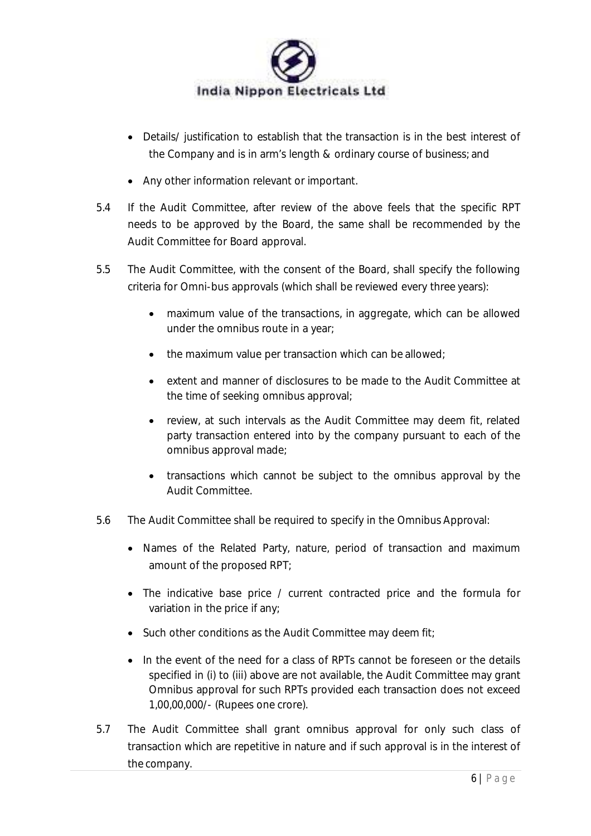

- Details/ justification to establish that the transaction is in the best interest of the Company and is in arm's length & ordinary course of business; and
- Any other information relevant or important.
- 5.4 If the Audit Committee, after review of the above feels that the specific RPT needs to be approved by the Board, the same shall be recommended by the Audit Committee for Board approval.
- 5.5 The Audit Committee, with the consent of the Board, shall specify the following criteria for Omni-bus approvals (which shall be reviewed every three years):
	- maximum value of the transactions, in aggregate, which can be allowed under the omnibus route in a year;
	- the maximum value per transaction which can be allowed;
	- extent and manner of disclosures to be made to the Audit Committee at the time of seeking omnibus approval;
	- review, at such intervals as the Audit Committee may deem fit, related party transaction entered into by the company pursuant to each of the omnibus approval made;
	- transactions which cannot be subject to the omnibus approval by the Audit Committee.
- 5.6 The Audit Committee shall be required to specify in the Omnibus Approval:
	- Names of the Related Party, nature, period of transaction and maximum amount of the proposed RPT;
	- The indicative base price / current contracted price and the formula for variation in the price if any;
	- Such other conditions as the Audit Committee may deem fit;
	- In the event of the need for a class of RPTs cannot be foreseen or the details specified in (i) to (iii) above are not available, the Audit Committee may grant Omnibus approval for such RPTs provided each transaction does not exceed 1,00,00,000/- (Rupees one crore).
- 5.7 The Audit Committee shall grant omnibus approval for only such class of transaction which are repetitive in nature and if such approval is in the interest of the company.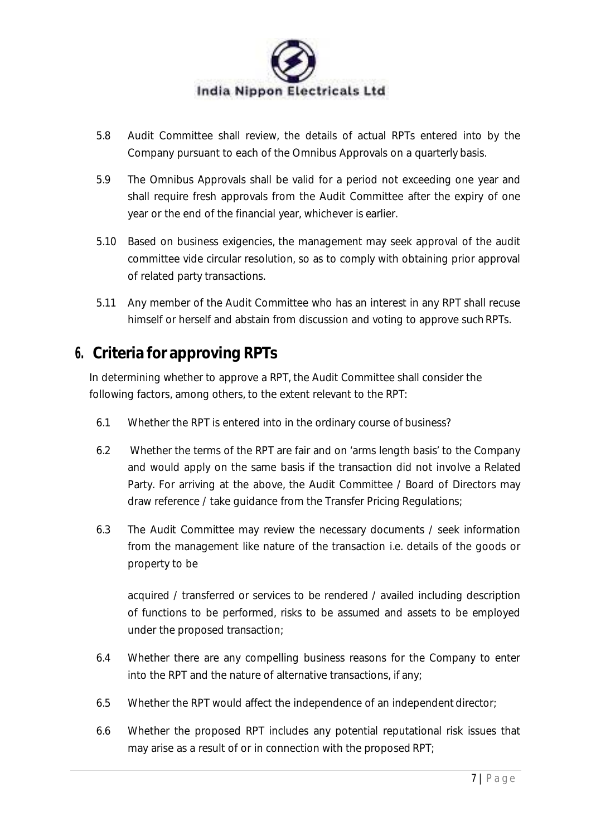

- 5.8 Audit Committee shall review, the details of actual RPTs entered into by the Company pursuant to each of the Omnibus Approvals on a quarterly basis.
- 5.9 The Omnibus Approvals shall be valid for a period not exceeding one year and shall require fresh approvals from the Audit Committee after the expiry of one year or the end of the financial year, whichever is earlier.
- 5.10 Based on business exigencies, the management may seek approval of the audit committee vide circular resolution, so as to comply with obtaining prior approval of related party transactions.
- 5.11 Any member of the Audit Committee who has an interest in any RPT shall recuse himself or herself and abstain from discussion and voting to approve such RPTs.

## **6. Criteria for approving RPTs**

In determining whether to approve a RPT, the Audit Committee shall consider the following factors, among others, to the extent relevant to the RPT:

- 6.1 Whether the RPT is entered into in the ordinary course of business?
- 6.2 Whether the terms of the RPT are fair and on 'arms length basis' to the Company and would apply on the same basis if the transaction did not involve a Related Party. For arriving at the above, the Audit Committee / Board of Directors may draw reference / take guidance from the Transfer Pricing Regulations;
- 6.3 The Audit Committee may review the necessary documents / seek information from the management like nature of the transaction i.e. details of the goods or property to be

acquired / transferred or services to be rendered / availed including description of functions to be performed, risks to be assumed and assets to be employed under the proposed transaction;

- 6.4 Whether there are any compelling business reasons for the Company to enter into the RPT and the nature of alternative transactions, if any;
- 6.5 Whether the RPT would affect the independence of an independent director;
- 6.6 Whether the proposed RPT includes any potential reputational risk issues that may arise as a result of or in connection with the proposed RPT;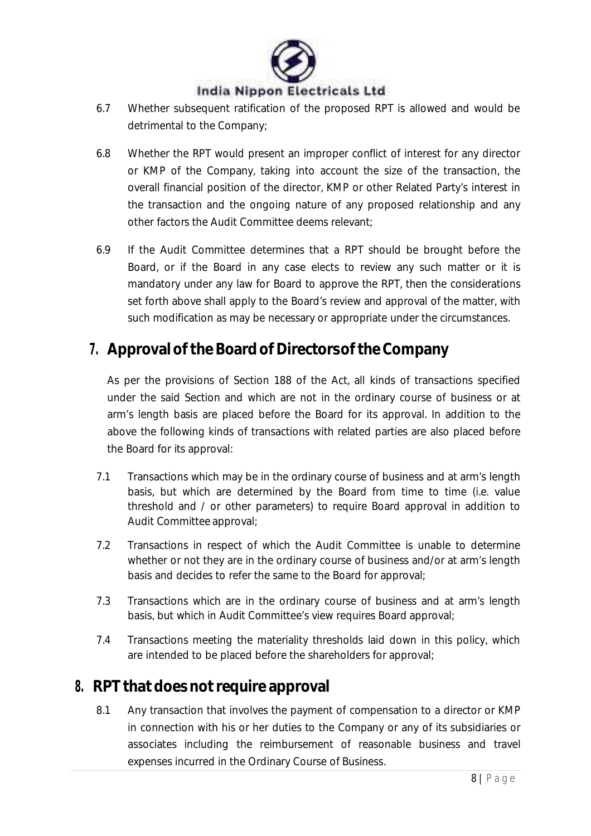

- 6.7 Whether subsequent ratification of the proposed RPT is allowed and would be detrimental to the Company;
- 6.8 Whether the RPT would present an improper conflict of interest for any director or KMP of the Company, taking into account the size of the transaction, the overall financial position of the director, KMP or other Related Party's interest in the transaction and the ongoing nature of any proposed relationship and any other factors the Audit Committee deems relevant;
- 6.9 If the Audit Committee determines that a RPT should be brought before the Board, or if the Board in any case elects to review any such matter or it is mandatory under any law for Board to approve the RPT, then the considerations set forth above shall apply to the Board's review and approval of the matter, with such modification as may be necessary or appropriate under the circumstances.

### **7. Approvalofthe Board ofDirectorsofthe Company**

As per the provisions of Section 188 of the Act, all kinds of transactions specified under the said Section and which are not in the ordinary course of business or at arm's length basis are placed before the Board for its approval. In addition to the above the following kinds of transactions with related parties are also placed before the Board for its approval:

- 7.1 Transactions which may be in the ordinary course of business and at arm's length basis, but which are determined by the Board from time to time (i.e. value threshold and / or other parameters) to require Board approval in addition to Audit Committee approval;
- 7.2 Transactions in respect of which the Audit Committee is unable to determine whether or not they are in the ordinary course of business and/or at arm's length basis and decides to refer the same to the Board for approval;
- 7.3 Transactions which are in the ordinary course of business and at arm's length basis, but which in Audit Committee's view requires Board approval:
- 7.4 Transactions meeting the materiality thresholds laid down in this policy, which are intended to be placed before the shareholders for approval;

### **8. RPT that does notrequire approval**

8.1 Any transaction that involves the payment of compensation to a director or KMP in connection with his or her duties to the Company or any of its subsidiaries or associates including the reimbursement of reasonable business and travel expenses incurred in the Ordinary Course of Business.